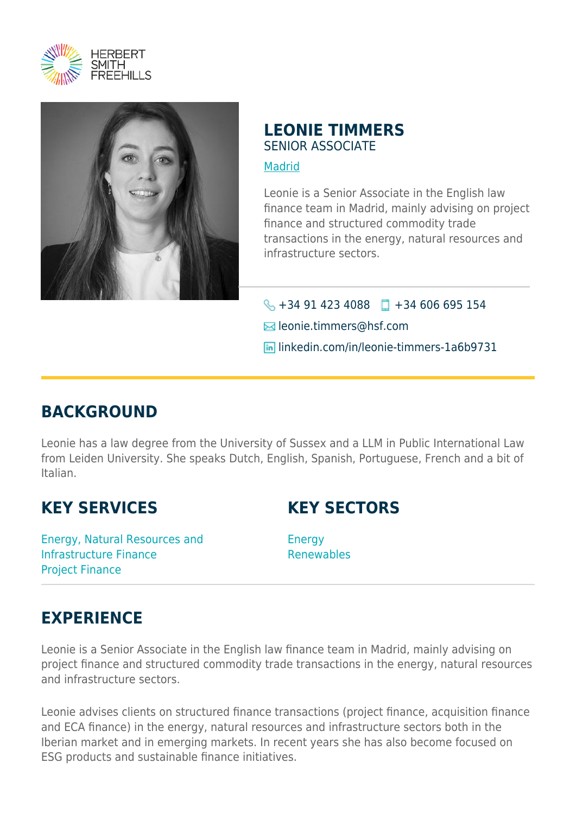



### **LEONIE TIMMERS** SENIOR ASSOCIATE

#### [Madrid](https://www.herbertsmithfreehills.com/where-we-work/madrid)

Leonie is a Senior Associate in the English law finance team in Madrid, mainly advising on project finance and structured commodity trade transactions in the energy, natural resources and infrastructure sectors.

 $\bigodot$  +34 91 423 4088 +34 606 695 154 **E**leonie.timmers@hsf.com linkedin.com/in/leonie-timmers-1a6b9731

## **BACKGROUND**

Leonie has a law degree from the University of Sussex and a LLM in Public International Law from Leiden University. She speaks Dutch, English, Spanish, Portuguese, French and a bit of Italian.

## **KEY SERVICES**

## **KEY SECTORS**

Energy, Natural Resources and Infrastructure Finance Project Finance

Energy Renewables

# **EXPERIENCE**

Leonie is a Senior Associate in the English law finance team in Madrid, mainly advising on project finance and structured commodity trade transactions in the energy, natural resources and infrastructure sectors.

Leonie advises clients on structured finance transactions (project finance, acquisition finance and ECA finance) in the energy, natural resources and infrastructure sectors both in the Iberian market and in emerging markets. In recent years she has also become focused on ESG products and sustainable finance initiatives.